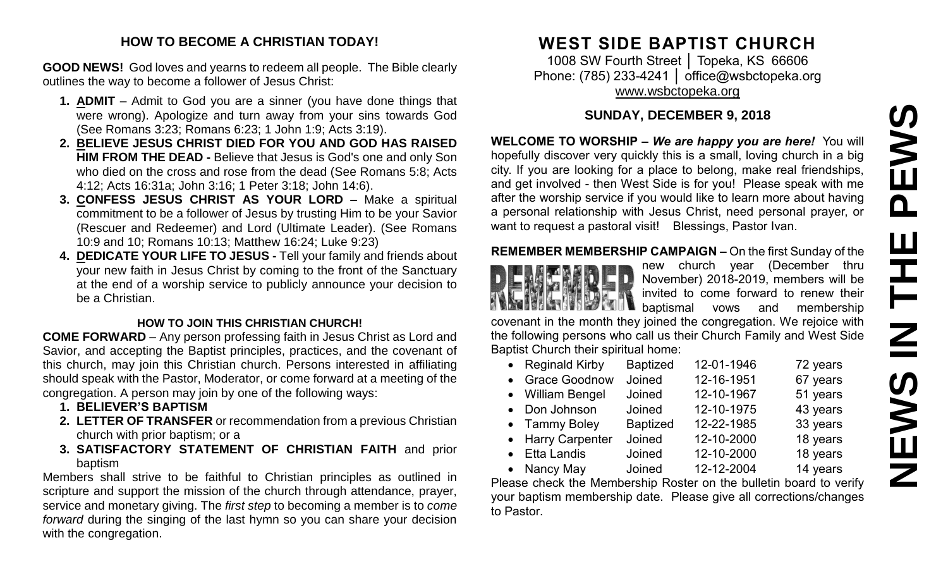# PEWS **NEWS IN THE PEWS**Ш IH<br>N<br>N<br>N **SMENE**

#### **HOW TO BECOME A CHRISTIAN TODAY!**

**GOOD NEWS!** God loves and yearns to redeem all people. The Bible clearly outlines the way to become a follower of Jesus Christ:

- **1. ADMIT** Admit to God you are a sinner (you have done things that were wrong). Apologize and turn away from your sins towards God (See Romans 3:23; Romans 6:23; 1 John 1:9; Acts 3:19).
- **2. BELIEVE JESUS CHRIST DIED FOR YOU AND GOD HAS RAISED HIM FROM THE DEAD -** Believe that Jesus is God's one and only Son who died on the cross and rose from the dead (See Romans 5:8; Acts 4:12; Acts 16:31a; John 3:16; 1 Peter 3:18; John 14:6).
- **3. CONFESS JESUS CHRIST AS YOUR LORD –** Make a spiritual commitment to be a follower of Jesus by trusting Him to be your Savior (Rescuer and Redeemer) and Lord (Ultimate Leader). (See Romans 10:9 and 10; Romans 10:13; Matthew 16:24; Luke 9:23)
- **4. DEDICATE YOUR LIFE TO JESUS -** Tell your family and friends about your new faith in Jesus Christ by coming to the front of the Sanctuary at the end of a worship service to publicly announce your decision to be a Christian.

#### **HOW TO JOIN THIS CHRISTIAN CHURCH!**

**COME FORWARD** – Any person professing faith in Jesus Christ as Lord and Savior, and accepting the Baptist principles, practices, and the covenant of this church, may join this Christian church. Persons interested in affiliating should speak with the Pastor, Moderator, or come forward at a meeting of the congregation. A person may join by one of the following ways:

- **1. BELIEVER'S BAPTISM**
- **2. LETTER OF TRANSFER** or recommendation from a previous Christian church with prior baptism; or a
- **3. SATISFACTORY STATEMENT OF CHRISTIAN FAITH** and prior baptism

Members shall strive to be faithful to Christian principles as outlined in scripture and support the mission of the church through attendance, prayer, service and monetary giving. The *first step* to becoming a member is to *come forward* during the singing of the last hymn so you can share your decision with the congregation.

# **WEST SIDE BAPTIST CHURCH**

1008 SW Fourth Street │ Topeka, KS 66606 Phone: (785) 233-4241 │ [office@wsbctopeka.org](mailto:office@wsbctopeka.org) [www.wsbctopeka.org](http://www.wsbctopeka.org/)

# **SUNDAY, DECEMBER 9, 2018**

**WELCOME TO WORSHIP –** *We are happy you are here!* You will hopefully discover very quickly this is a small, loving church in a big city. If you are looking for a place to belong, make real friendships, and get involved - then West Side is for you! Please speak with me after the worship service if you would like to learn more about having a personal relationship with Jesus Christ, need personal prayer, or want to request a pastoral visit! Blessings, Pastor Ivan.

# **REMEMBER MEMBERSHIP CAMPAIGN –** On the first Sunday of the



new church year (December thru November) 2018-2019, members will be invited to come forward to renew their baptismal vows and membership

covenant in the month they joined the congregation. We rejoice with the following persons who call us their Church Family and West Side Baptist Church their spiritual home:

| • Reginald Kirby  | <b>Baptized</b> | 12-01-1946 | 72 years |
|-------------------|-----------------|------------|----------|
| • Grace Goodnow   | Joined          | 12-16-1951 | 67 years |
| • William Bengel  | Joined          | 12-10-1967 | 51 years |
| • Don Johnson     | Joined          | 12-10-1975 | 43 years |
| • Tammy Boley     | <b>Baptized</b> | 12-22-1985 | 33 years |
| • Harry Carpenter | Joined          | 12-10-2000 | 18 years |
| • Etta Landis     | Joined          | 12-10-2000 | 18 years |
| • Nancy May       | Joined          | 12-12-2004 | 14 years |

Please check the Membership Roster on the bulletin board to verify your baptism membership date. Please give all corrections/changes to Pastor.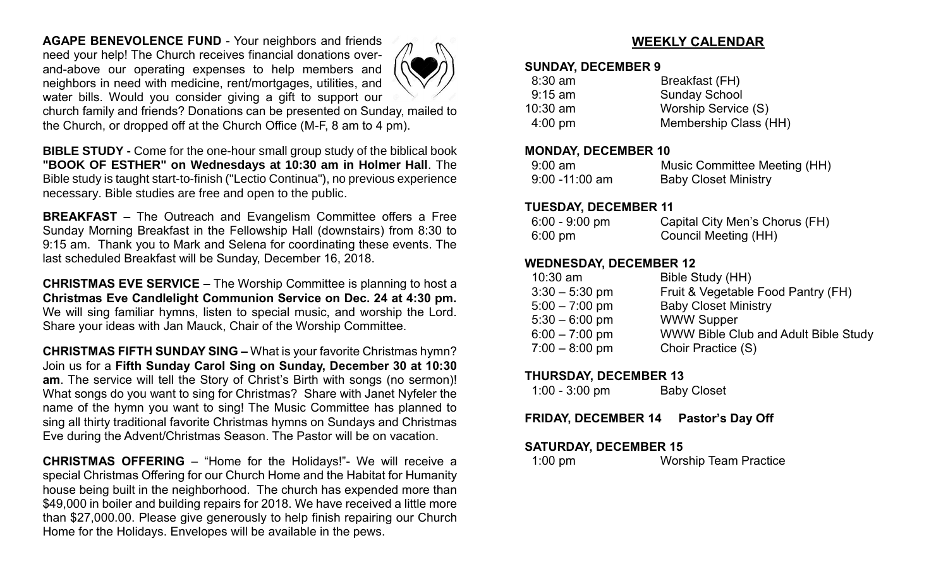**AGAPE BENEVOLENCE FUND** - Your neighbors and friends need your help! The Church receives financial donations overand-above our operating expenses to help members and neighbors in need with medicine, rent/mortgages, utilities, and water bills. Would you consider giving a gift to support our



church family and friends? Donations can be presented on Sunday, mailed to the Church, or dropped off at the Church Office (M-F, 8 am to 4 pm).

**BIBLE STUDY -** Come for the one-hour small group study of the biblical book **"BOOK OF ESTHER" on Wednesdays at 10:30 am in Holmer Hall**. The Bible study is taught start-to-finish ("Lectio Continua"), no previous experience necessary. Bible studies are free and open to the public.

**BREAKFAST –** The Outreach and Evangelism Committee offers a Free Sunday Morning Breakfast in the Fellowship Hall (downstairs) from 8:30 to 9:15 am. Thank you to Mark and Selena for coordinating these events. The last scheduled Breakfast will be Sunday, December 16, 2018.

**CHRISTMAS EVE SERVICE –** The Worship Committee is planning to host a **Christmas Eve Candlelight Communion Service on Dec. 24 at 4:30 pm.**  We will sing familiar hymns, listen to special music, and worship the Lord. Share your ideas with Jan Mauck, Chair of the Worship Committee.

**CHRISTMAS FIFTH SUNDAY SING –** What is your favorite Christmas hymn? Join us for a **Fifth Sunday Carol Sing on Sunday, December 30 at 10:30 am**. The service will tell the Story of Christ's Birth with songs (no sermon)! What songs do you want to sing for Christmas? Share with Janet Nyfeler the name of the hymn you want to sing! The Music Committee has planned to sing all thirty traditional favorite Christmas hymns on Sundays and Christmas Eve during the Advent/Christmas Season. The Pastor will be on vacation.

**CHRISTMAS OFFERING** – "Home for the Holidays!"- We will receive a special Christmas Offering for our Church Home and the Habitat for Humanity house being built in the neighborhood. The church has expended more than \$49,000 in boiler and building repairs for 2018. We have received a little more than \$27,000.00. Please give generously to help finish repairing our Church Home for the Holidays. Envelopes will be available in the pews.

# **WEEKLY CALENDAR**

#### **SUNDAY, DECEMBER 9**

| Breakfast (FH)        |
|-----------------------|
| <b>Sunday School</b>  |
| Worship Service (S)   |
| Membership Class (HH) |
|                       |

#### **MONDAY, DECEMBER 10**

| $9:00 \text{ am}$ | Music Committee Meeting (HH) |
|-------------------|------------------------------|
| $9:00 - 11:00$ am | <b>Baby Closet Ministry</b>  |

#### **TUESDAY, DECEMBER 11**

| $6:00 - 9:00$ pm | Capital City Men's Chorus (FH) |
|------------------|--------------------------------|
| 6:00 pm          | Council Meeting (HH)           |

# **WEDNESDAY, DECEMBER 12**

| $10:30$ am       | Bible Study (HH)                            |
|------------------|---------------------------------------------|
| $3:30 - 5:30$ pm | Fruit & Vegetable Food Pantry (FH)          |
| $5:00 - 7:00$ pm | <b>Baby Closet Ministry</b>                 |
| $5:30 - 6:00$ pm | <b>WWW Supper</b>                           |
| $6:00 - 7:00$ pm | <b>WWW Bible Club and Adult Bible Study</b> |
| $7:00 - 8:00$ pm | Choir Practice (S)                          |
|                  |                                             |

## **THURSDAY, DECEMBER 13**

| $1:00 - 3:00$ pm | <b>Baby Closet</b> |
|------------------|--------------------|
|------------------|--------------------|

**FRIDAY, DECEMBER 14 Pastor's Day Off**

## **SATURDAY, DECEMBER 15**

1:00 pm Worship Team Practice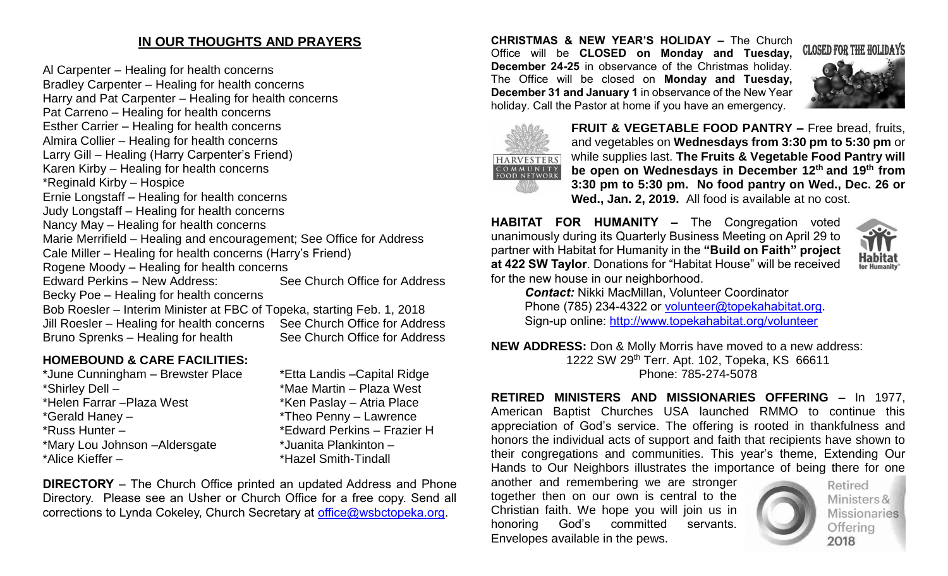# **IN OUR THOUGHTS AND PRAYERS**

Al Carpenter – Healing for health concerns Bradley Carpenter – Healing for health concerns Harry and Pat Carpenter – Healing for health concerns Pat Carreno – Healing for health concerns Esther Carrier – Healing for health concerns Almira Collier – Healing for health concerns Larry Gill – Healing (Harry Carpenter's Friend) Karen Kirby – Healing for health concerns \*Reginald Kirby – Hospice Ernie Longstaff – Healing for health concerns Judy Longstaff – Healing for health concerns Nancy May – Healing for health concerns Marie Merrifield – Healing and encouragement; See Office for Address Cale Miller – Healing for health concerns (Harry's Friend) Rogene Moody – Healing for health concerns Edward Perkins – New Address: See Church Office for Address Becky Poe – Healing for health concerns Bob Roesler – Interim Minister at FBC of Topeka, starting Feb. 1, 2018 Jill Roesler – Healing for health concerns See Church Office for Address

Bruno Sprenks – Healing for health See Church Office for Address

#### **HOMEBOUND & CARE FACILITIES:**

| *June Cunningham - Brewster Place | *Etta Landis - Capital |
|-----------------------------------|------------------------|
| *Shirley Dell -                   | *Mae Martin - Plaza Y  |
| *Helen Farrar - Plaza West        | *Ken Paslay - Atria F  |
| *Gerald Haney -                   | *Theo Penny - Lawre    |
| *Russ Hunter -                    | *Edward Perkins - Fr   |
| *Mary Lou Johnson - Aldersgate    | *Juanita Plankinton -  |
| *Alice Kieffer -                  | *Hazel Smith-Tindall   |
|                                   |                        |

Capital Ridge Plaza West Atria Place – Lawrence ns – Frazier H

**DIRECTORY** – The Church Office printed an updated Address and Phone Directory. Please see an Usher or Church Office for a free copy. Send all corrections to Lynda Cokeley, Church Secretary at [office@wsbctopeka.org.](mailto:office@wsbctopeka.org)

**CHRISTMAS & NEW YEAR'S HOLIDAY –** The Church Office will be **CLOSED on Monday and Tuesday, December 24-25** in observance of the Christmas holiday. The Office will be closed on **Monday and Tuesday, December 31 and January 1** in observance of the New Year holiday. Call the Pastor at home if you have an emergency.





**FRUIT & VEGETABLE FOOD PANTRY –** Free bread, fruits, and vegetables on **Wednesdays from 3:30 pm to 5:30 pm** or while supplies last. **The Fruits & Vegetable Food Pantry will be open on Wednesdays in December 12th and 19 th from 3:30 pm to 5:30 pm. No food pantry on Wed., Dec. 26 or Wed., Jan. 2, 2019.** All food is available at no cost.

**HABITAT FOR HUMANITY –** The Congregation voted unanimously during its Quarterly Business Meeting on April 29 to partner with Habitat for Humanity in the **"Build on Faith" project at 422 SW Taylor**. Donations for "Habitat House" will be received for the new house in our neighborhood.



*Contact:* Nikki MacMillan, Volunteer Coordinator Phone (785) 234-4322 or [volunteer@topekahabitat.org.](mailto:volunteer@topekahabitat.org) Sign-up online:<http://www.topekahabitat.org/volunteer>

**NEW ADDRESS:** Don & Molly Morris have moved to a new address: 1222 SW 29th Terr. Apt. 102, Topeka, KS 66611 Phone: 785-274-5078

**RETIRED MINISTERS AND MISSIONARIES OFFERING –** In 1977, American Baptist Churches USA launched RMMO to continue this appreciation of God's service. The offering is rooted in thankfulness and honors the individual acts of support and faith that recipients have shown to their congregations and communities. This year's theme, Extending Our Hands to Our Neighbors illustrates the importance of being there for one

another and remembering we are stronger together then on our own is central to the Christian faith. We hope you will join us in honoring God's committed servants. Envelopes available in the pews.



Retired Ministers & **Missionaries** Offering 2018